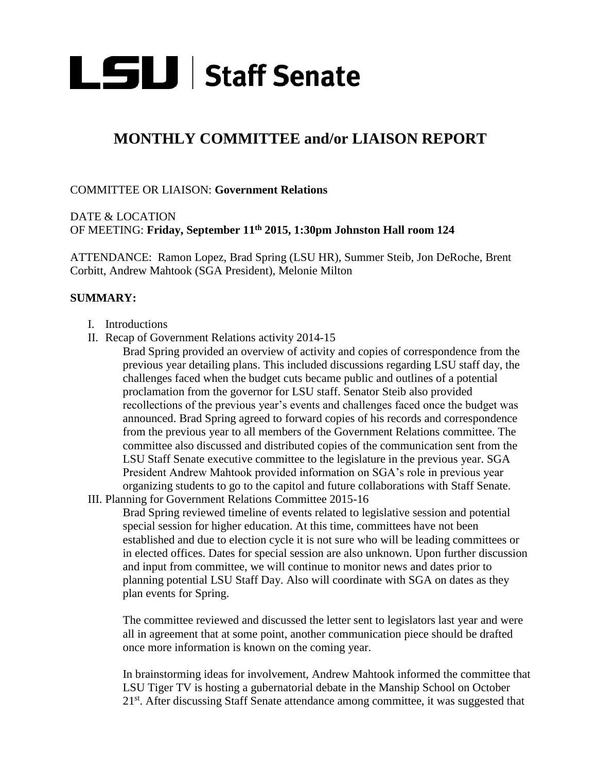

## **MONTHLY COMMITTEE and/or LIAISON REPORT**

## COMMITTEE OR LIAISON: **Government Relations**

## DATE & LOCATION OF MEETING: **Friday, September 11th 2015, 1:30pm Johnston Hall room 124**

ATTENDANCE: Ramon Lopez, Brad Spring (LSU HR), Summer Steib, Jon DeRoche, Brent Corbitt, Andrew Mahtook (SGA President), Melonie Milton

## **SUMMARY:**

- I. Introductions
- II. Recap of Government Relations activity 2014-15

Brad Spring provided an overview of activity and copies of correspondence from the previous year detailing plans. This included discussions regarding LSU staff day, the challenges faced when the budget cuts became public and outlines of a potential proclamation from the governor for LSU staff. Senator Steib also provided recollections of the previous year's events and challenges faced once the budget was announced. Brad Spring agreed to forward copies of his records and correspondence from the previous year to all members of the Government Relations committee. The committee also discussed and distributed copies of the communication sent from the LSU Staff Senate executive committee to the legislature in the previous year. SGA President Andrew Mahtook provided information on SGA's role in previous year organizing students to go to the capitol and future collaborations with Staff Senate.

III. Planning for Government Relations Committee 2015-16

Brad Spring reviewed timeline of events related to legislative session and potential special session for higher education. At this time, committees have not been established and due to election cycle it is not sure who will be leading committees or in elected offices. Dates for special session are also unknown. Upon further discussion and input from committee, we will continue to monitor news and dates prior to planning potential LSU Staff Day. Also will coordinate with SGA on dates as they plan events for Spring.

The committee reviewed and discussed the letter sent to legislators last year and were all in agreement that at some point, another communication piece should be drafted once more information is known on the coming year.

In brainstorming ideas for involvement, Andrew Mahtook informed the committee that LSU Tiger TV is hosting a gubernatorial debate in the Manship School on October 21<sup>st</sup>. After discussing Staff Senate attendance among committee, it was suggested that